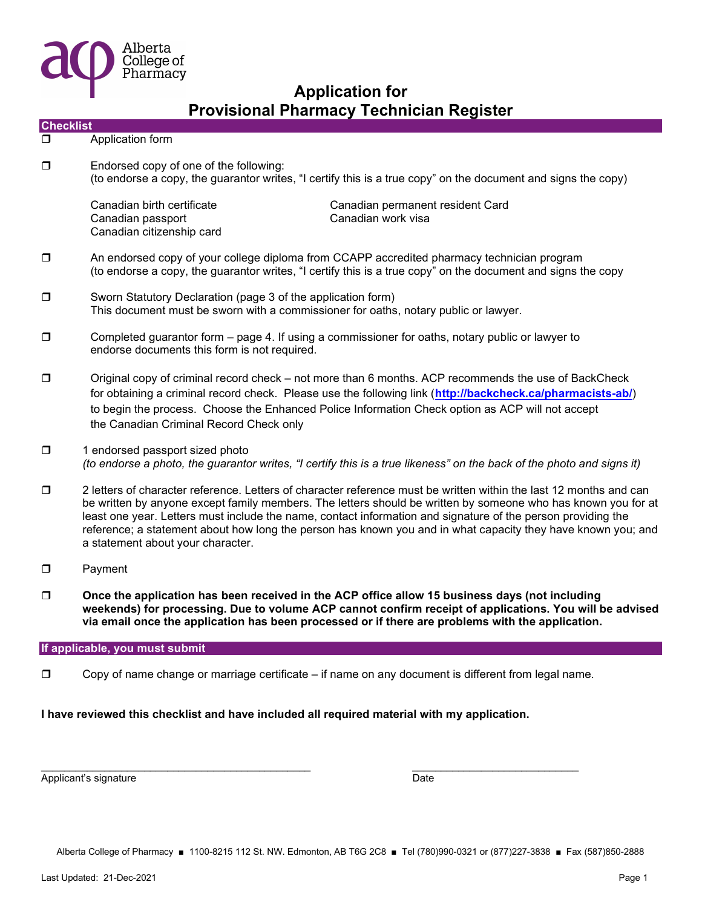

|                  |                                                                                                                                                                                                                                                                                                                                                                                                                                                                                                          | Provisional Pharmacy Technician Register               |  |  |  |
|------------------|----------------------------------------------------------------------------------------------------------------------------------------------------------------------------------------------------------------------------------------------------------------------------------------------------------------------------------------------------------------------------------------------------------------------------------------------------------------------------------------------------------|--------------------------------------------------------|--|--|--|
| <b>Checklist</b> |                                                                                                                                                                                                                                                                                                                                                                                                                                                                                                          |                                                        |  |  |  |
| σ                | Application form                                                                                                                                                                                                                                                                                                                                                                                                                                                                                         |                                                        |  |  |  |
| $\Box$           | Endorsed copy of one of the following:<br>(to endorse a copy, the guarantor writes, "I certify this is a true copy" on the document and signs the copy)                                                                                                                                                                                                                                                                                                                                                  |                                                        |  |  |  |
|                  | Canadian birth certificate<br>Canadian passport<br>Canadian citizenship card                                                                                                                                                                                                                                                                                                                                                                                                                             | Canadian permanent resident Card<br>Canadian work visa |  |  |  |
| $\Box$           | An endorsed copy of your college diploma from CCAPP accredited pharmacy technician program<br>(to endorse a copy, the guarantor writes, "I certify this is a true copy" on the document and signs the copy                                                                                                                                                                                                                                                                                               |                                                        |  |  |  |
| $\Box$           | Sworn Statutory Declaration (page 3 of the application form)<br>This document must be sworn with a commissioner for oaths, notary public or lawyer.                                                                                                                                                                                                                                                                                                                                                      |                                                        |  |  |  |
| $\Box$           | Completed guarantor form - page 4. If using a commissioner for oaths, notary public or lawyer to<br>endorse documents this form is not required.                                                                                                                                                                                                                                                                                                                                                         |                                                        |  |  |  |
| $\Box$           | Original copy of criminal record check – not more than 6 months. ACP recommends the use of BackCheck<br>for obtaining a criminal record check. Please use the following link (http://backcheck.ca/pharmacists-ab/)<br>to begin the process. Choose the Enhanced Police Information Check option as ACP will not accept<br>the Canadian Criminal Record Check only                                                                                                                                        |                                                        |  |  |  |
| $\Box$           | 1 endorsed passport sized photo<br>(to endorse a photo, the guarantor writes, "I certify this is a true likeness" on the back of the photo and signs it)                                                                                                                                                                                                                                                                                                                                                 |                                                        |  |  |  |
| $\Box$           | 2 letters of character reference. Letters of character reference must be written within the last 12 months and can<br>be written by anyone except family members. The letters should be written by someone who has known you for at<br>least one year. Letters must include the name, contact information and signature of the person providing the<br>reference; a statement about how long the person has known you and in what capacity they have known you; and<br>a statement about your character. |                                                        |  |  |  |
| $\Box$           | Payment                                                                                                                                                                                                                                                                                                                                                                                                                                                                                                  |                                                        |  |  |  |
| $\Box$           | Once the application has been received in the ACP office allow 15 business days (not including<br>weekends) for processing. Due to volume ACP cannot confirm receipt of applications. You will be advised<br>via email once the application has been processed or if there are problems with the application.                                                                                                                                                                                            |                                                        |  |  |  |
|                  |                                                                                                                                                                                                                                                                                                                                                                                                                                                                                                          |                                                        |  |  |  |

#### If applicable, you must submit

□ Copy of name change or marriage certificate – if name on any document is different from legal name.

 $\overline{\phantom{a}}$  , and the state of the state of the state of the state of the state of the state of the state of the state of the state of the state of the state of the state of the state of the state of the state of the stat

I have reviewed this checklist and have included all required material with my application.

Applicant's signature Date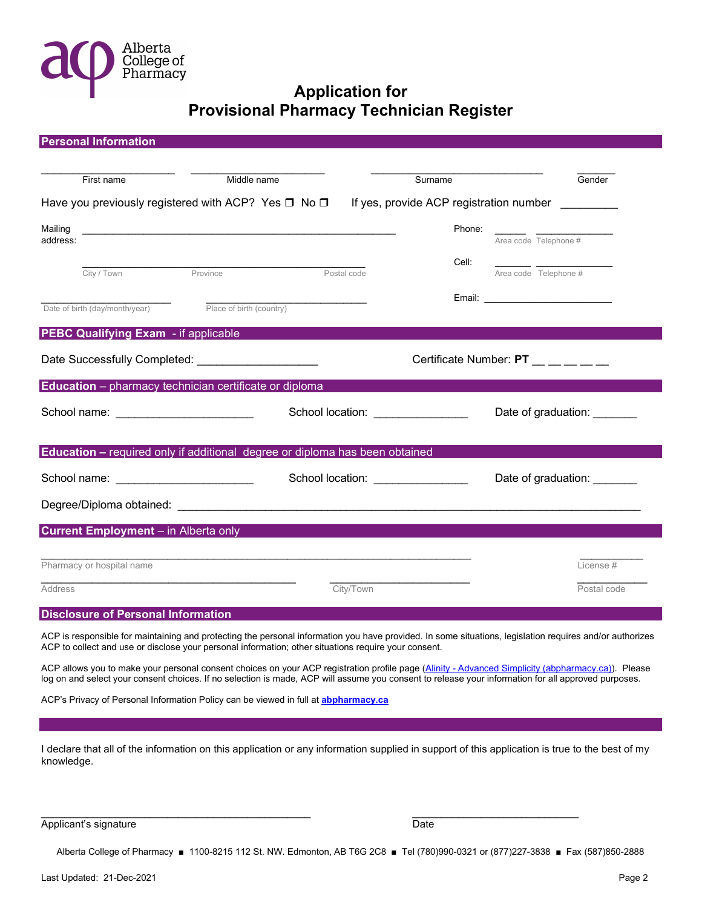

| First name                                                                                                                                                                                                                                                                                | Middle name | Surname                                                                                                                                                                                                                                           | Gender                                                                                                                                                                                                                         |
|-------------------------------------------------------------------------------------------------------------------------------------------------------------------------------------------------------------------------------------------------------------------------------------------|-------------|---------------------------------------------------------------------------------------------------------------------------------------------------------------------------------------------------------------------------------------------------|--------------------------------------------------------------------------------------------------------------------------------------------------------------------------------------------------------------------------------|
| Have you previously registered with ACP? Yes $\square$ No $\square$                                                                                                                                                                                                                       |             |                                                                                                                                                                                                                                                   | If yes, provide ACP registration number _________                                                                                                                                                                              |
| Mailing<br>address:                                                                                                                                                                                                                                                                       |             |                                                                                                                                                                                                                                                   | Phone:<br>Area code Telephone #                                                                                                                                                                                                |
| City / Town Province                                                                                                                                                                                                                                                                      |             | Postal code                                                                                                                                                                                                                                       | Cell:<br>Area code Telephone #                                                                                                                                                                                                 |
| Date of birth (day/month/year) Place of birth (country)                                                                                                                                                                                                                                   |             |                                                                                                                                                                                                                                                   | Email: Email: All and the state of the state of the state of the state of the state of the state of the state of the state of the state of the state of the state of the state of the state of the state of the state of the s |
| <b>PEBC Qualifying Exam - if applicable</b>                                                                                                                                                                                                                                               |             |                                                                                                                                                                                                                                                   |                                                                                                                                                                                                                                |
| Date Successfully Completed: _____________________                                                                                                                                                                                                                                        |             |                                                                                                                                                                                                                                                   | Certificate Number: PT __ _ _ _ _                                                                                                                                                                                              |
| Education - pharmacy technician certificate or diploma                                                                                                                                                                                                                                    |             |                                                                                                                                                                                                                                                   |                                                                                                                                                                                                                                |
| School name: $\frac{1}{2}$ and $\frac{1}{2}$ and $\frac{1}{2}$ and $\frac{1}{2}$ and $\frac{1}{2}$ and $\frac{1}{2}$ and $\frac{1}{2}$ and $\frac{1}{2}$ and $\frac{1}{2}$ and $\frac{1}{2}$ and $\frac{1}{2}$ and $\frac{1}{2}$ and $\frac{1}{2}$ and $\frac{1}{2}$ and $\frac{1}{2}$ an |             | School location: _______________                                                                                                                                                                                                                  | Date of graduation: _______                                                                                                                                                                                                    |
| <b>Education - required only if additional degree or diploma has been obtained</b>                                                                                                                                                                                                        |             |                                                                                                                                                                                                                                                   |                                                                                                                                                                                                                                |
| School name: ___________________________                                                                                                                                                                                                                                                  |             | School location: ________________                                                                                                                                                                                                                 | Date of graduation: _______                                                                                                                                                                                                    |
|                                                                                                                                                                                                                                                                                           |             |                                                                                                                                                                                                                                                   |                                                                                                                                                                                                                                |
| <b>Current Employment</b> – in Alberta only                                                                                                                                                                                                                                               |             |                                                                                                                                                                                                                                                   |                                                                                                                                                                                                                                |
| Pharmacy or hospital name                                                                                                                                                                                                                                                                 |             |                                                                                                                                                                                                                                                   | License#                                                                                                                                                                                                                       |
| <b>Address</b>                                                                                                                                                                                                                                                                            |             | <u> 1960 - Johann John Harry Harry Harry Harry Harry Harry Harry Harry Harry Harry Harry Harry Harry Harry Harry Harry Harry Harry Harry Harry Harry Harry Harry Harry Harry Harry Harry Harry Harry Harry Harry Harry Harry Har</u><br>City/Town | Postal code                                                                                                                                                                                                                    |
| <b>Disclosure of Personal Information</b>                                                                                                                                                                                                                                                 |             |                                                                                                                                                                                                                                                   |                                                                                                                                                                                                                                |

ACP allows you to make your personal consent choices on your ACP registration profile page (Alinity - Advanced Simplicity (abpharmacy.ca)). Please log on and select your consent choices. If no selection is made, ACP will assume you consent to release your information for all approved purposes.

ACP's Privacy of Personal Information Policy can be viewed in full at **abpharmacy.ca** 

I declare that all of the information on this application or any information supplied in support of this application is true to the best of my knowledge.

 $\overline{\phantom{a}}$  , and the state of the state of the state of the state of the state of the state of the state of the state of the state of the state of the state of the state of the state of the state of the state of the stat

Applicant's signature Date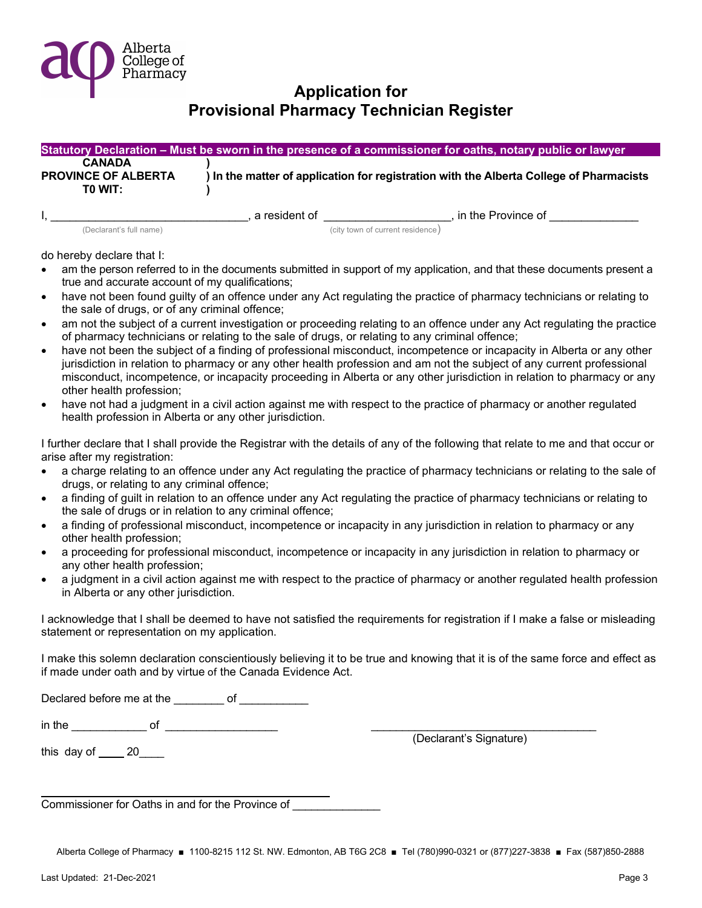

|                                                        |               | Statutory Declaration – Must be sworn in the presence of a commissioner for oaths, notary public or lawyer |
|--------------------------------------------------------|---------------|------------------------------------------------------------------------------------------------------------|
| <b>CANADA</b><br><b>PROVINCE OF ALBERTA</b><br>TO WIT: |               | ) In the matter of application for registration with the Alberta College of Pharmacists                    |
|                                                        | a resident of | in the Province of                                                                                         |

(Declarant's full name)  $($  city town of current residence $)$ 

do hereby declare that I:

- am the person referred to in the documents submitted in support of my application, and that these documents present a true and accurate account of my qualifications;
- have not been found guilty of an offence under any Act regulating the practice of pharmacy technicians or relating to the sale of drugs, or of any criminal offence;
- am not the subject of a current investigation or proceeding relating to an offence under any Act regulating the practice of pharmacy technicians or relating to the sale of drugs, or relating to any criminal offence;
- have not been the subject of a finding of professional misconduct, incompetence or incapacity in Alberta or any other jurisdiction in relation to pharmacy or any other health profession and am not the subject of any current professional misconduct, incompetence, or incapacity proceeding in Alberta or any other jurisdiction in relation to pharmacy or any other health profession;
- have not had a judgment in a civil action against me with respect to the practice of pharmacy or another regulated health profession in Alberta or any other jurisdiction.

I further declare that I shall provide the Registrar with the details of any of the following that relate to me and that occur or arise after my registration:

- a charge relating to an offence under any Act regulating the practice of pharmacy technicians or relating to the sale of drugs, or relating to any criminal offence;
- a finding of guilt in relation to an offence under any Act regulating the practice of pharmacy technicians or relating to the sale of drugs or in relation to any criminal offence;
- a finding of professional misconduct, incompetence or incapacity in any jurisdiction in relation to pharmacy or any other health profession;
- a proceeding for professional misconduct, incompetence or incapacity in any jurisdiction in relation to pharmacy or any other health profession;
- a judgment in a civil action against me with respect to the practice of pharmacy or another regulated health profession in Alberta or any other jurisdiction.

I acknowledge that I shall be deemed to have not satisfied the requirements for registration if I make a false or misleading statement or representation on my application.

I make this solemn declaration conscientiously believing it to be true and knowing that it is of the same force and effect as if made under oath and by virtue of the Canada Evidence Act.

Declared before me at the \_\_\_\_\_\_\_\_ of \_\_\_\_\_\_\_\_\_\_\_

 $\blacksquare$  in the  $\blacksquare$ 

this day of 20

l

(Declarant's Signature)

Commissioner for Oaths in and for the Province of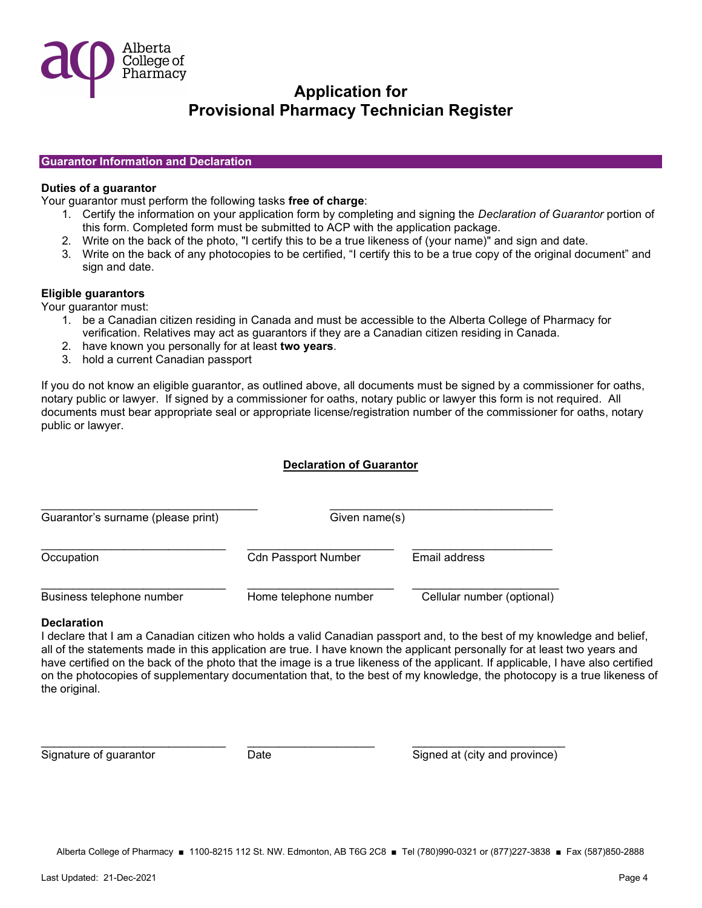

#### Guarantor Information and Declaration

#### Duties of a guarantor

Your guarantor must perform the following tasks free of charge:

- 1. Certify the information on your application form by completing and signing the Declaration of Guarantor portion of this form. Completed form must be submitted to ACP with the application package.
- 2. Write on the back of the photo, "I certify this to be a true likeness of (your name)" and sign and date.
- 3. Write on the back of any photocopies to be certified, "I certify this to be a true copy of the original document" and sign and date.

#### Eligible guarantors

Your guarantor must:

- 1. be a Canadian citizen residing in Canada and must be accessible to the Alberta College of Pharmacy for verification. Relatives may act as guarantors if they are a Canadian citizen residing in Canada.
- 2. have known you personally for at least two years.
- 3. hold a current Canadian passport

If you do not know an eligible guarantor, as outlined above, all documents must be signed by a commissioner for oaths, notary public or lawyer. If signed by a commissioner for oaths, notary public or lawyer this form is not required. All documents must bear appropriate seal or appropriate license/registration number of the commissioner for oaths, notary public or lawyer.

### Declaration of Guarantor

| Guarantor's surname (please print) |                            | Given name(s)              |  |  |
|------------------------------------|----------------------------|----------------------------|--|--|
| Occupation                         | <b>Cdn Passport Number</b> | Email address              |  |  |
| Business telephone number          | Home telephone number      | Cellular number (optional) |  |  |

\_\_\_\_\_\_\_\_\_\_\_\_\_\_\_\_\_\_\_\_\_\_\_\_\_\_\_\_\_ \_\_\_\_\_\_\_\_\_\_\_\_\_\_\_\_\_\_\_\_ \_\_\_\_\_\_\_\_\_\_\_\_\_\_\_\_\_\_\_\_\_\_\_\_

#### **Declaration**

I declare that I am a Canadian citizen who holds a valid Canadian passport and, to the best of my knowledge and belief, all of the statements made in this application are true. I have known the applicant personally for at least two years and have certified on the back of the photo that the image is a true likeness of the applicant. If applicable, I have also certified on the photocopies of supplementary documentation that, to the best of my knowledge, the photocopy is a true likeness of the original.

Signature of guarantor **Signature of guarant contract contract Date** Signed at (city and province)